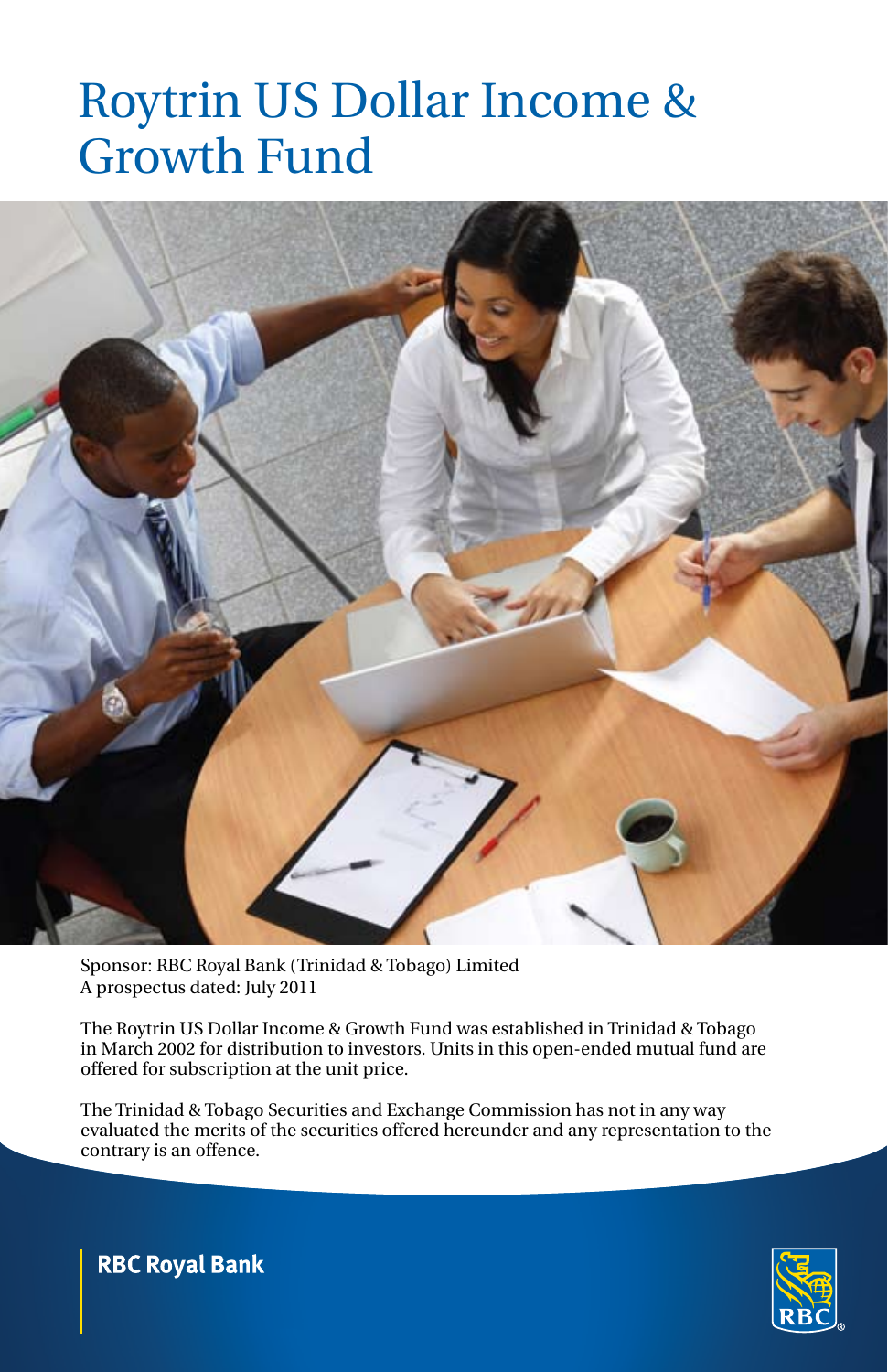

Sponsor: RBC Royal Bank (Trinidad & Tobago) Limited A prospectus dated: July 2011

The Roytrin US Dollar Income & Growth Fund was established in Trinidad & Tobago in March 2002 for distribution to investors. Units in this open-ended mutual fund are offered for subscription at the unit price.

The Trinidad & Tobago Securities and Exchange Commission has not in any way evaluated the merits of the securities offered hereunder and any representation to the contrary is an offence.



**RBC Royal Bank**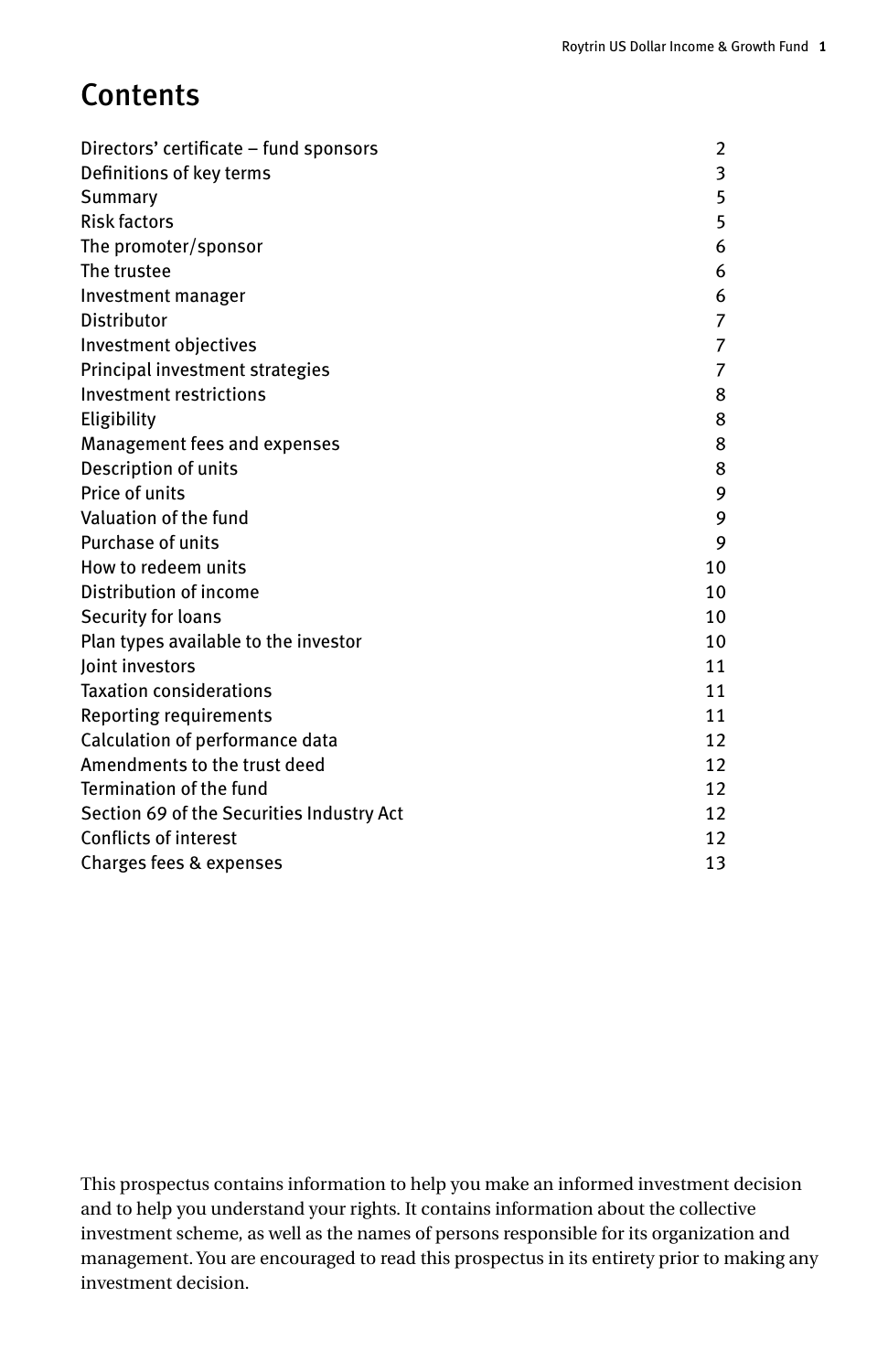# **Contents**

| Directors' certificate - fund sponsors    | 2  |
|-------------------------------------------|----|
| Definitions of key terms                  | 3  |
| Summary                                   | 5  |
| <b>Risk factors</b>                       | 5  |
| The promoter/sponsor                      | 6  |
| The trustee                               | 6  |
| Investment manager                        | 6  |
| Distributor                               | 7  |
| Investment objectives                     | 7  |
| Principal investment strategies           | 7  |
| Investment restrictions                   | 8  |
| Eligibility                               | 8  |
| Management fees and expenses              | 8  |
| Description of units                      | 8  |
| Price of units                            | 9  |
| Valuation of the fund                     | 9  |
| Purchase of units                         | 9  |
| How to redeem units                       | 10 |
| Distribution of income                    | 10 |
| Security for loans                        | 10 |
| Plan types available to the investor      | 10 |
| Joint investors                           | 11 |
| <b>Taxation considerations</b>            | 11 |
| Reporting requirements                    | 11 |
| Calculation of performance data           | 12 |
| Amendments to the trust deed              | 12 |
| Termination of the fund                   | 12 |
| Section 69 of the Securities Industry Act | 12 |
| <b>Conflicts of interest</b>              | 12 |
| Charges fees & expenses                   | 13 |

This prospectus contains information to help you make an informed investment decision and to help you understand your rights. It contains information about the collective investment scheme, as well as the names of persons responsible for its organization and management. You are encouraged to read this prospectus in its entirety prior to making any investment decision.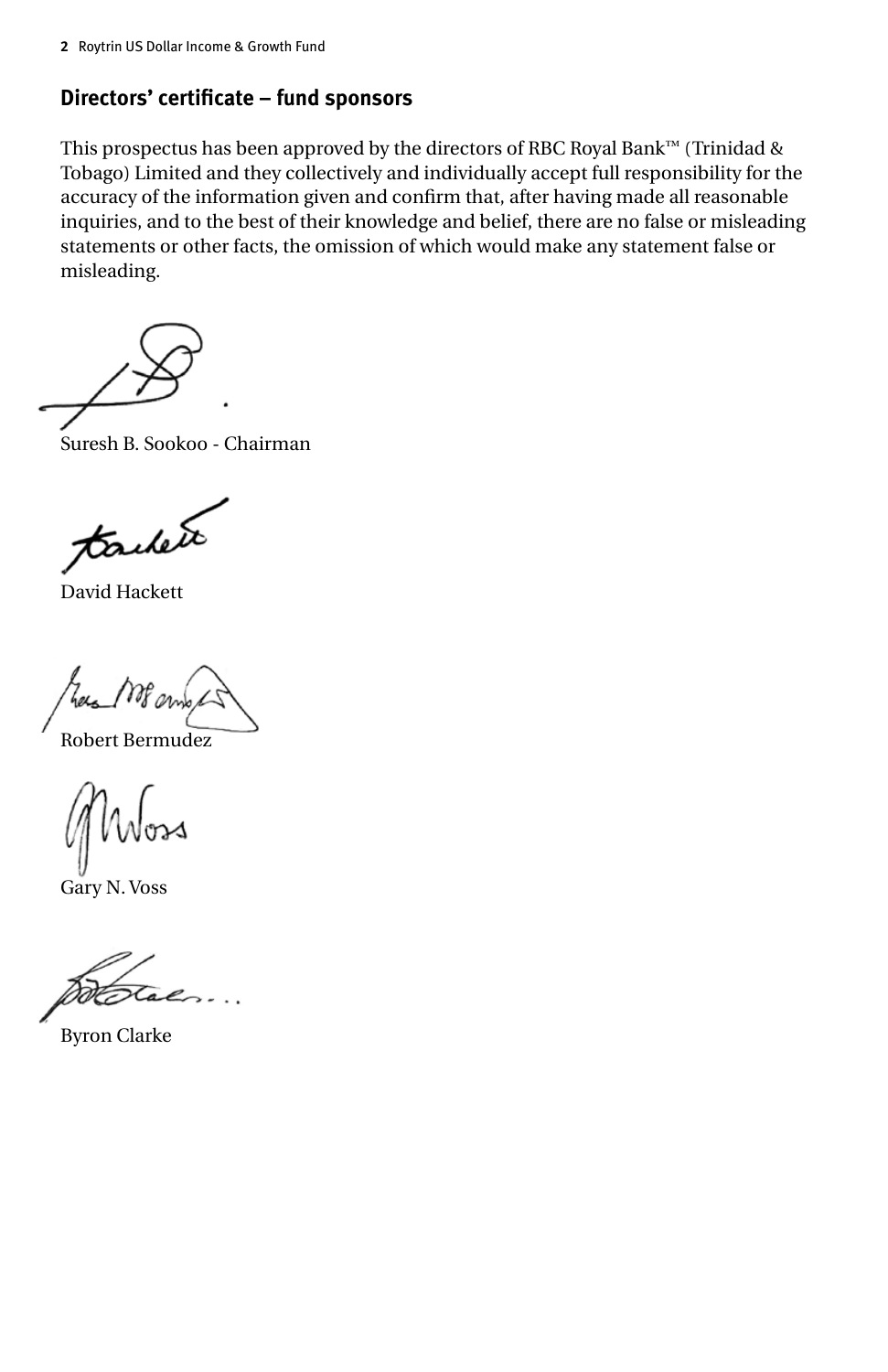## **Directors' certificate – fund sponsors**

This prospectus has been approved by the directors of RBC Royal Bank™ (Trinidad & Tobago) Limited and they collectively and individually accept full responsibility for the accuracy of the information given and confirm that, after having made all reasonable inquiries, and to the best of their knowledge and belief, there are no false or misleading statements or other facts, the omission of which would make any statement false or misleading.

Suresh B. Sookoo - Chairman

tachete

David Hackett

Robert Bermudez

Gary N. Voss

Byron Clarke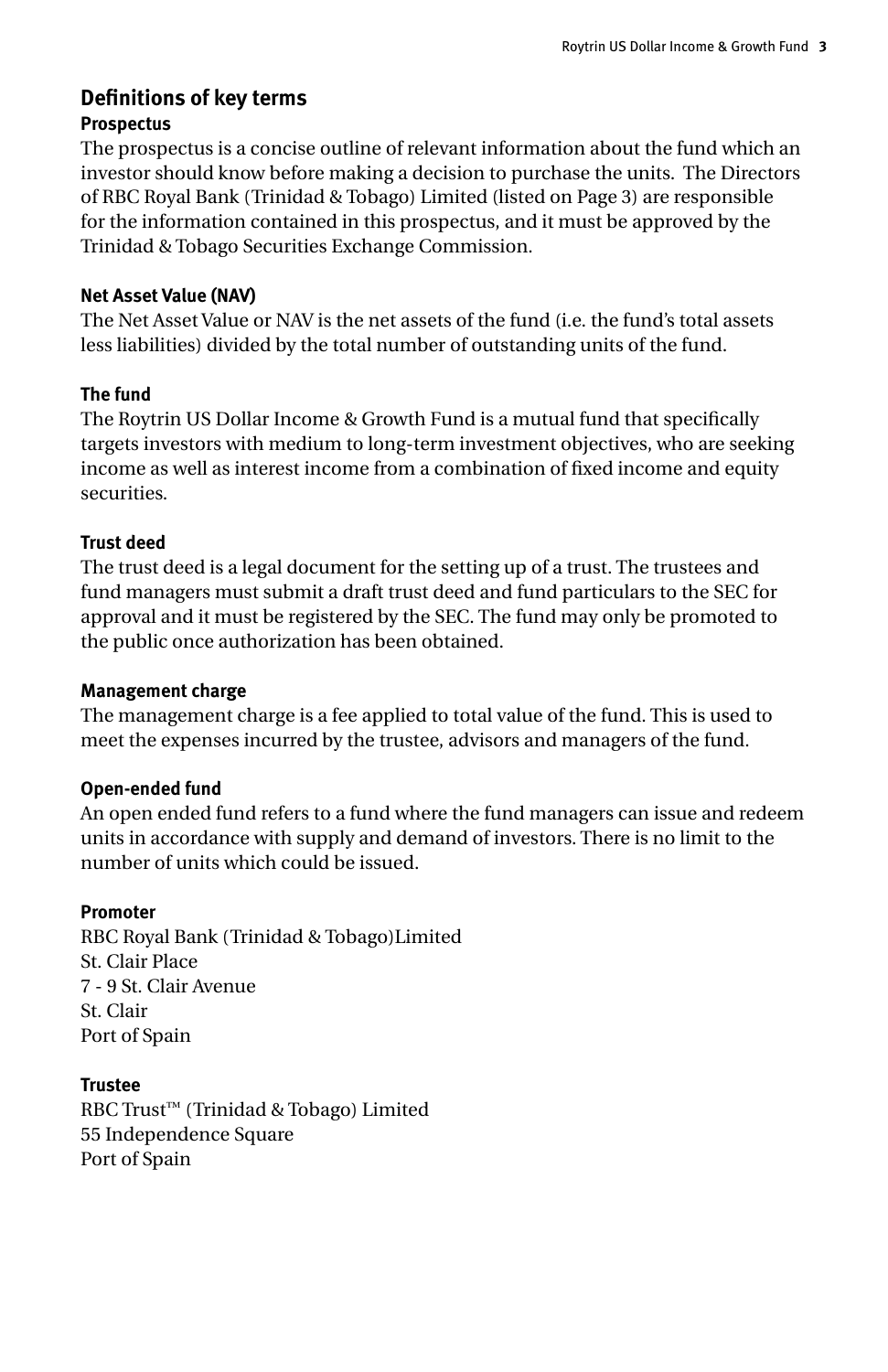## **Definitions of key terms Prospectus**

The prospectus is a concise outline of relevant information about the fund which an investor should know before making a decision to purchase the units. The Directors of RBC Royal Bank (Trinidad & Tobago) Limited (listed on Page 3) are responsible for the information contained in this prospectus, and it must be approved by the Trinidad & Tobago Securities Exchange Commission.

#### **Net Asset Value (NAV)**

The Net Asset Value or NAV is the net assets of the fund (i.e. the fund's total assets less liabilities) divided by the total number of outstanding units of the fund.

## **The fund**

The Roytrin US Dollar Income & Growth Fund is a mutual fund that specifically targets investors with medium to long-term investment objectives, who are seeking income as well as interest income from a combination of fixed income and equity securities.

## **Trust deed**

The trust deed is a legal document for the setting up of a trust. The trustees and fund managers must submit a draft trust deed and fund particulars to the SEC for approval and it must be registered by the SEC. The fund may only be promoted to the public once authorization has been obtained.

#### **Management charge**

The management charge is a fee applied to total value of the fund. This is used to meet the expenses incurred by the trustee, advisors and managers of the fund.

## **Open-ended fund**

An open ended fund refers to a fund where the fund managers can issue and redeem units in accordance with supply and demand of investors. There is no limit to the number of units which could be issued.

## **Promoter**

RBC Royal Bank (Trinidad & Tobago)Limited St. Clair Place 7 - 9 St. Clair Avenue St. Clair Port of Spain

**Trustee** RBC Trust™ (Trinidad & Tobago) Limited 55 Independence Square Port of Spain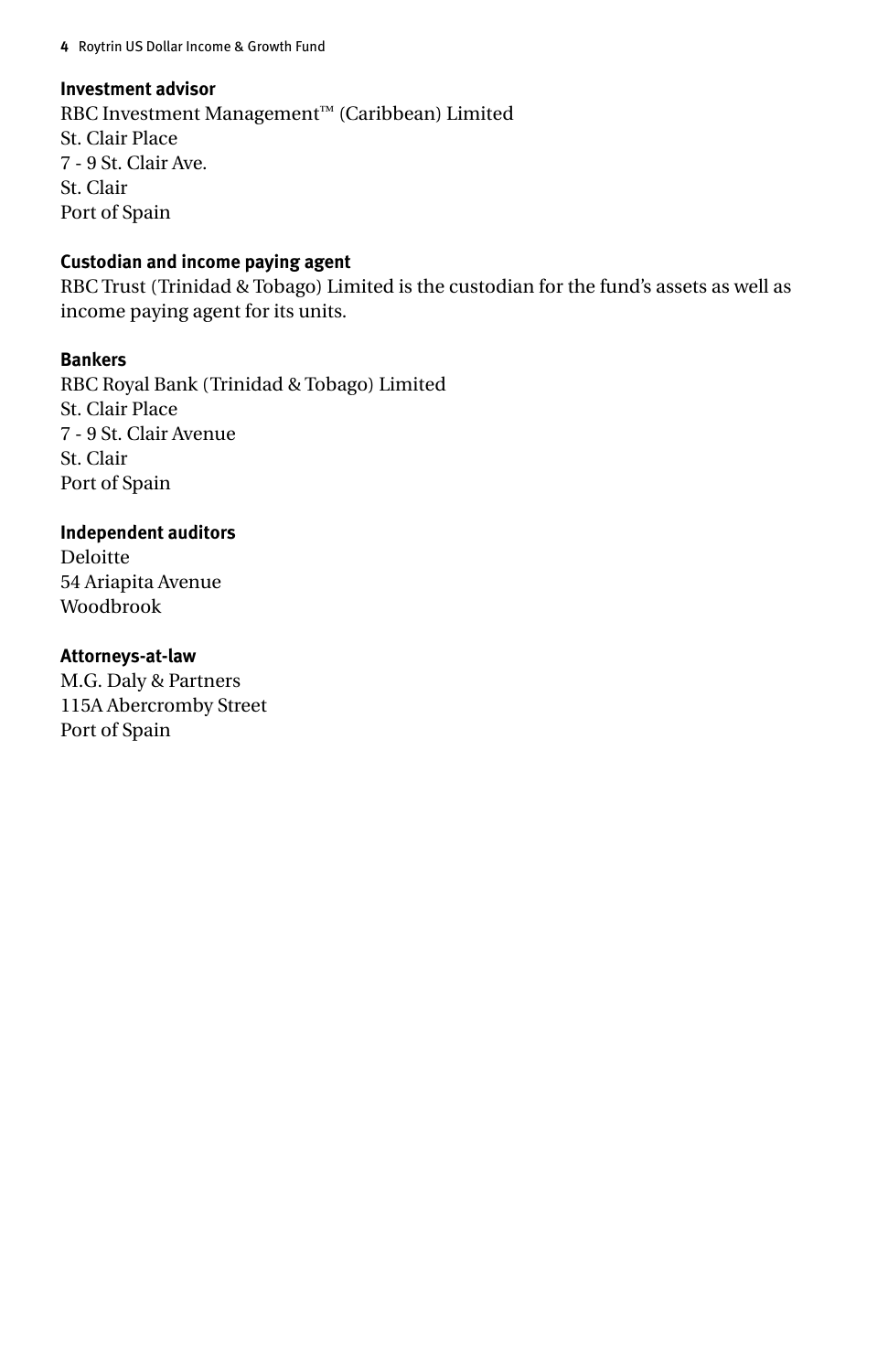#### **Investment advisor**

RBC Investment Management™ (Caribbean) Limited St. Clair Place 7 - 9 St. Clair Ave. St. Clair Port of Spain

#### **Custodian and income paying agent**

RBC Trust (Trinidad & Tobago) Limited is the custodian for the fund's assets as well as income paying agent for its units.

#### **Bankers**

RBC Royal Bank (Trinidad & Tobago) Limited St. Clair Place 7 - 9 St. Clair Avenue St. Clair Port of Spain

#### **Independent auditors**

Deloitte 54 Ariapita Avenue Woodbrook

#### **Attorneys-at-law**

M.G. Daly & Partners 115A Abercromby Street Port of Spain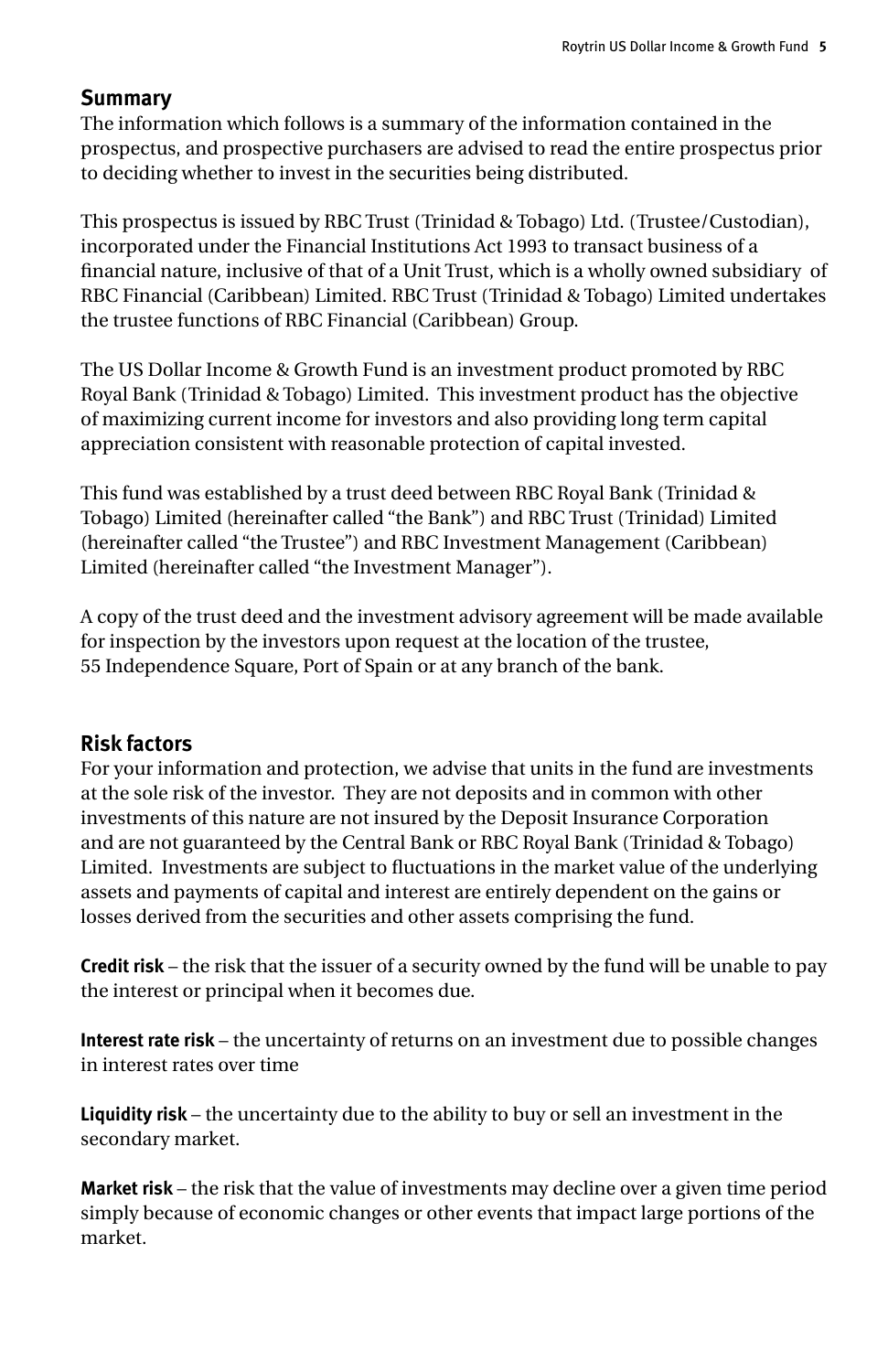## **Summary**

The information which follows is a summary of the information contained in the prospectus, and prospective purchasers are advised to read the entire prospectus prior to deciding whether to invest in the securities being distributed.

This prospectus is issued by RBC Trust (Trinidad & Tobago) Ltd. (Trustee/Custodian), incorporated under the Financial Institutions Act 1993 to transact business of a financial nature, inclusive of that of a Unit Trust, which is a wholly owned subsidiary of RBC Financial (Caribbean) Limited. RBC Trust (Trinidad & Tobago) Limited undertakes the trustee functions of RBC Financial (Caribbean) Group.

The US Dollar Income & Growth Fund is an investment product promoted by RBC Royal Bank (Trinidad & Tobago) Limited. This investment product has the objective of maximizing current income for investors and also providing long term capital appreciation consistent with reasonable protection of capital invested.

This fund was established by a trust deed between RBC Royal Bank (Trinidad & Tobago) Limited (hereinafter called "the Bank") and RBC Trust (Trinidad) Limited (hereinafter called "the Trustee") and RBC Investment Management (Caribbean) Limited (hereinafter called "the Investment Manager").

A copy of the trust deed and the investment advisory agreement will be made available for inspection by the investors upon request at the location of the trustee, 55 Independence Square, Port of Spain or at any branch of the bank.

#### **Risk factors**

For your information and protection, we advise that units in the fund are investments at the sole risk of the investor. They are not deposits and in common with other investments of this nature are not insured by the Deposit Insurance Corporation and are not guaranteed by the Central Bank or RBC Royal Bank (Trinidad & Tobago) Limited. Investments are subject to fluctuations in the market value of the underlying assets and payments of capital and interest are entirely dependent on the gains or losses derived from the securities and other assets comprising the fund.

**Credit risk** – the risk that the issuer of a security owned by the fund will be unable to pay the interest or principal when it becomes due.

**Interest rate risk** – the uncertainty of returns on an investment due to possible changes in interest rates over time

**Liquidity risk** – the uncertainty due to the ability to buy or sell an investment in the secondary market.

**Market risk** – the risk that the value of investments may decline over a given time period simply because of economic changes or other events that impact large portions of the market.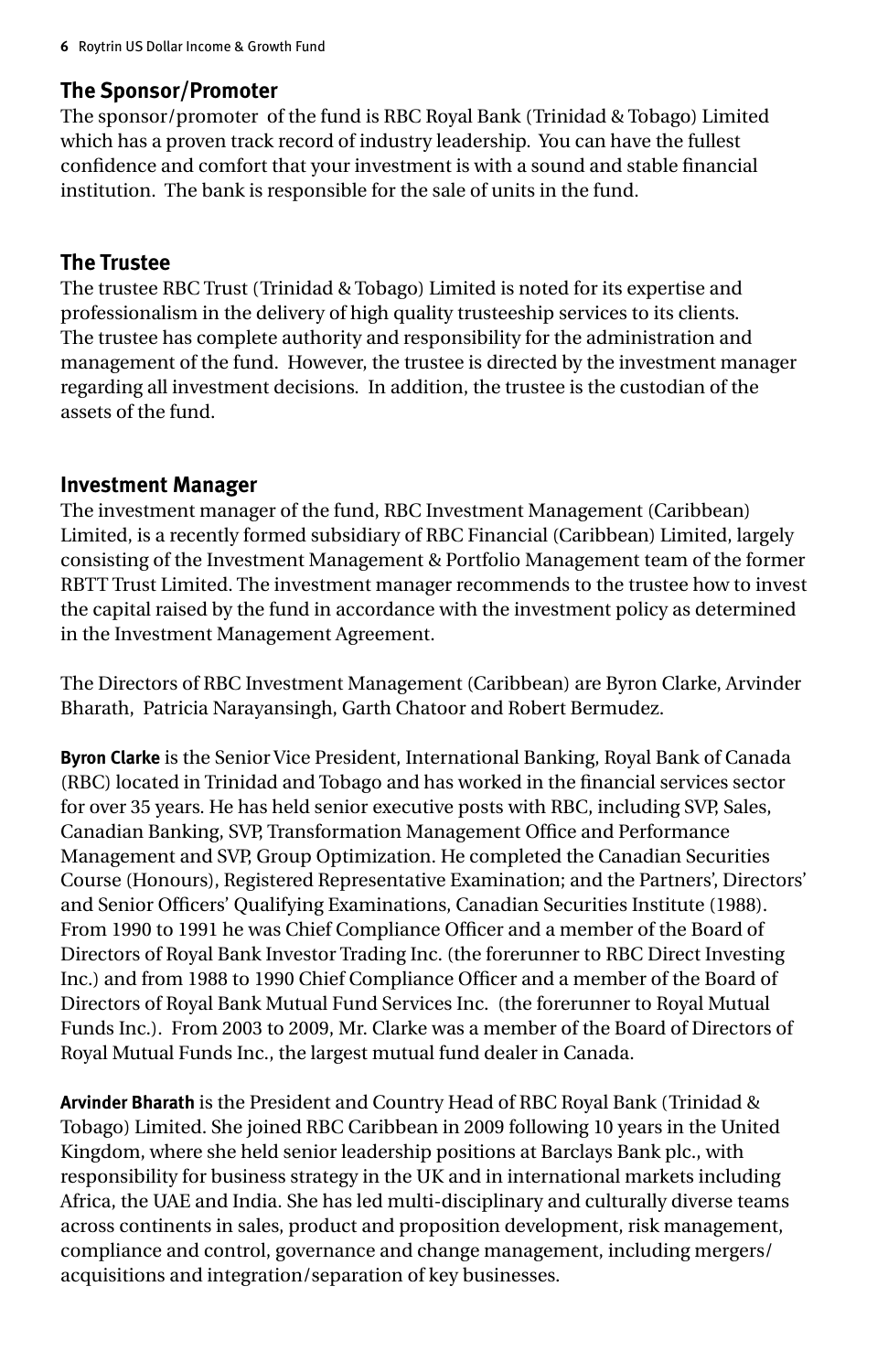## **The Sponsor/Promoter**

The sponsor/promoter of the fund is RBC Royal Bank (Trinidad & Tobago) Limited which has a proven track record of industry leadership. You can have the fullest confidence and comfort that your investment is with a sound and stable financial institution. The bank is responsible for the sale of units in the fund.

## **The Trustee**

The trustee RBC Trust (Trinidad & Tobago) Limited is noted for its expertise and professionalism in the delivery of high quality trusteeship services to its clients. The trustee has complete authority and responsibility for the administration and management of the fund. However, the trustee is directed by the investment manager regarding all investment decisions. In addition, the trustee is the custodian of the assets of the fund.

#### **Investment Manager**

The investment manager of the fund, RBC Investment Management (Caribbean) Limited, is a recently formed subsidiary of RBC Financial (Caribbean) Limited, largely consisting of the Investment Management & Portfolio Management team of the former RBTT Trust Limited. The investment manager recommends to the trustee how to invest the capital raised by the fund in accordance with the investment policy as determined in the Investment Management Agreement.

The Directors of RBC Investment Management (Caribbean) are Byron Clarke, Arvinder Bharath, Patricia Narayansingh, Garth Chatoor and Robert Bermudez.

**Byron Clarke** is the Senior Vice President, International Banking, Royal Bank of Canada (RBC) located in Trinidad and Tobago and has worked in the financial services sector for over 35 years. He has held senior executive posts with RBC, including SVP, Sales, Canadian Banking, SVP, Transformation Management Office and Performance Management and SVP, Group Optimization. He completed the Canadian Securities Course (Honours), Registered Representative Examination; and the Partners', Directors' and Senior Officers' Qualifying Examinations, Canadian Securities Institute (1988). From 1990 to 1991 he was Chief Compliance Officer and a member of the Board of Directors of Royal Bank Investor Trading Inc. (the forerunner to RBC Direct Investing Inc.) and from 1988 to 1990 Chief Compliance Officer and a member of the Board of Directors of Royal Bank Mutual Fund Services Inc. (the forerunner to Royal Mutual Funds Inc.). From 2003 to 2009, Mr. Clarke was a member of the Board of Directors of Royal Mutual Funds Inc., the largest mutual fund dealer in Canada.

**Arvinder Bharath** is the President and Country Head of RBC Royal Bank (Trinidad & Tobago) Limited. She joined RBC Caribbean in 2009 following 10 years in the United Kingdom, where she held senior leadership positions at Barclays Bank plc., with responsibility for business strategy in the UK and in international markets including Africa, the UAE and India. She has led multi-disciplinary and culturally diverse teams across continents in sales, product and proposition development, risk management, compliance and control, governance and change management, including mergers/ acquisitions and integration/separation of key businesses.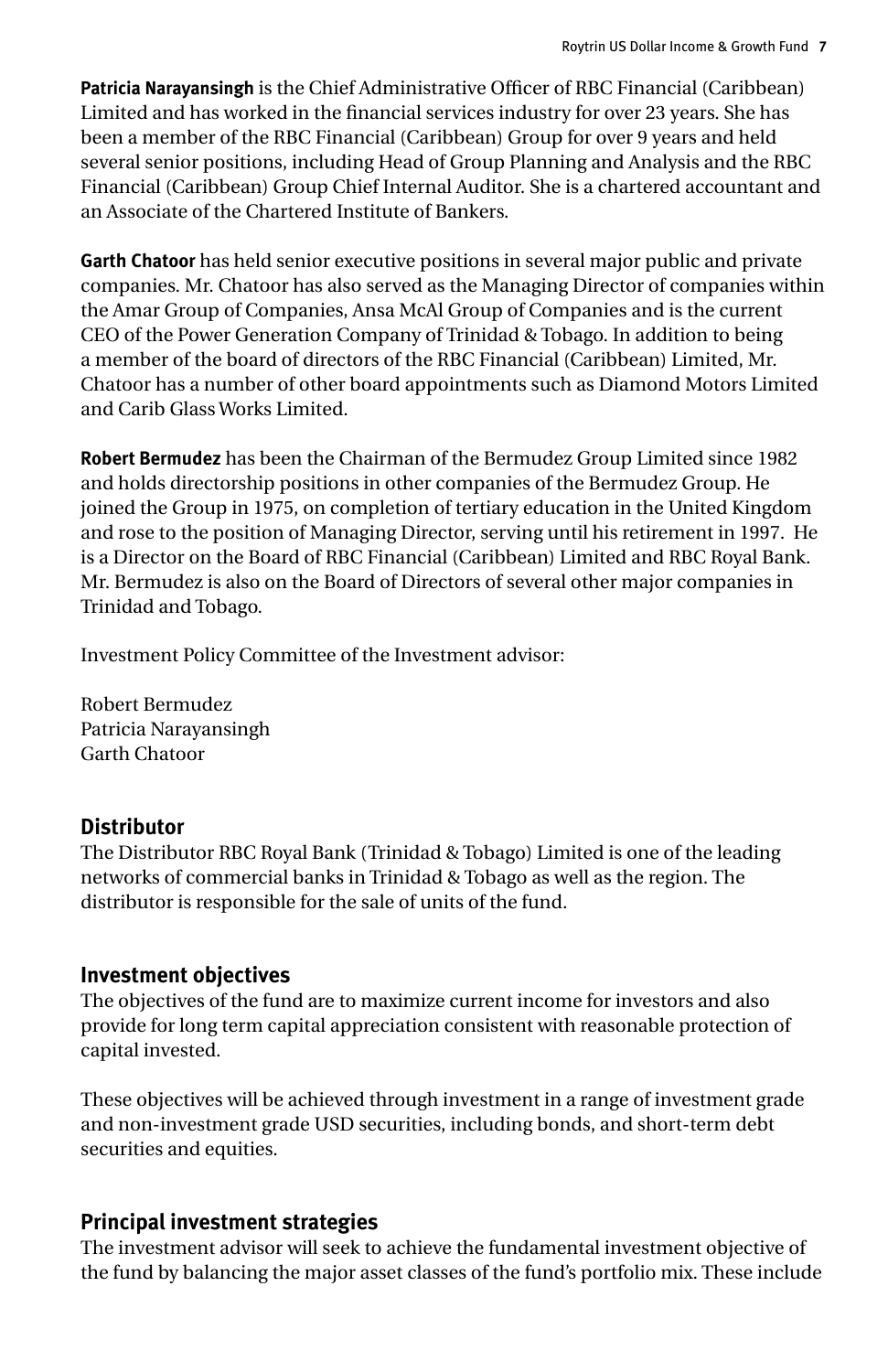**Patricia Narayansingh** is the Chief Administrative Officer of RBC Financial (Caribbean) Limited and has worked in the financial services industry for over 23 years. She has been a member of the RBC Financial (Caribbean) Group for over 9 years and held several senior positions, including Head of Group Planning and Analysis and the RBC Financial (Caribbean) Group Chief Internal Auditor. She is a chartered accountant and an Associate of the Chartered Institute of Bankers.

**Garth Chatoor** has held senior executive positions in several major public and private companies. Mr. Chatoor has also served as the Managing Director of companies within the Amar Group of Companies, Ansa McAl Group of Companies and is the current CEO of the Power Generation Company of Trinidad & Tobago. In addition to being a member of the board of directors of the RBC Financial (Caribbean) Limited, Mr. Chatoor has a number of other board appointments such as Diamond Motors Limited and Carib Glass Works Limited.

**Robert Bermudez** has been the Chairman of the Bermudez Group Limited since 1982 and holds directorship positions in other companies of the Bermudez Group. He joined the Group in 1975, on completion of tertiary education in the United Kingdom and rose to the position of Managing Director, serving until his retirement in 1997. He is a Director on the Board of RBC Financial (Caribbean) Limited and RBC Royal Bank. Mr. Bermudez is also on the Board of Directors of several other major companies in Trinidad and Tobago.

Investment Policy Committee of the Investment advisor:

Robert Bermudez Patricia Narayansingh Garth Chatoor

## **Distributor**

The Distributor RBC Royal Bank (Trinidad & Tobago) Limited is one of the leading networks of commercial banks in Trinidad & Tobago as well as the region. The distributor is responsible for the sale of units of the fund.

## **Investment objectives**

The objectives of the fund are to maximize current income for investors and also provide for long term capital appreciation consistent with reasonable protection of capital invested.

These objectives will be achieved through investment in a range of investment grade and non-investment grade USD securities, including bonds, and short-term debt securities and equities.

## **Principal investment strategies**

The investment advisor will seek to achieve the fundamental investment objective of the fund by balancing the major asset classes of the fund's portfolio mix. These include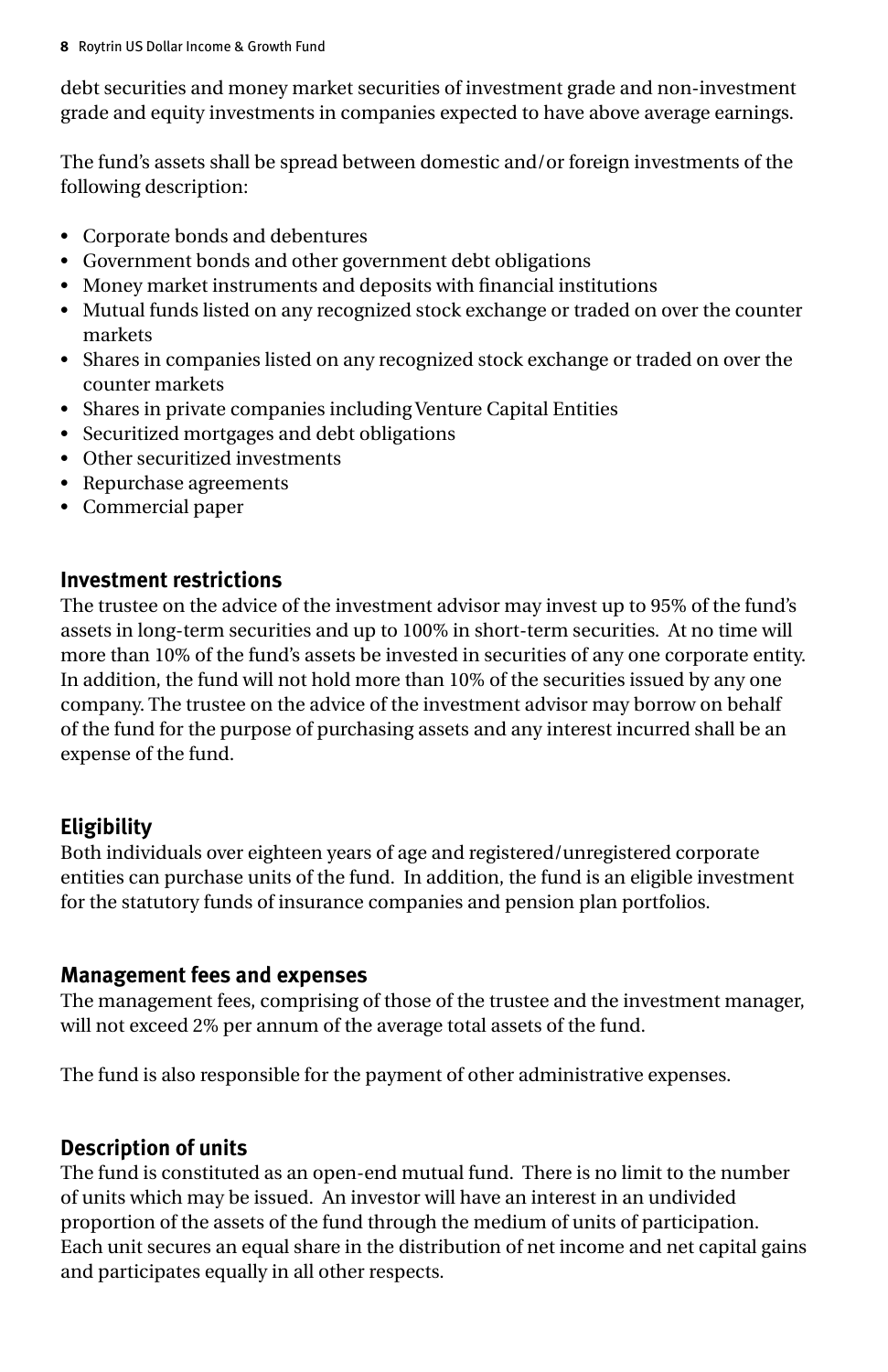debt securities and money market securities of investment grade and non-investment grade and equity investments in companies expected to have above average earnings.

The fund's assets shall be spread between domestic and/or foreign investments of the following description:

- • Corporate bonds and debentures
- • Government bonds and other government debt obligations
- • Money market instruments and deposits with financial institutions
- • Mutual funds listed on any recognized stock exchange or traded on over the counter markets
- • Shares in companies listed on any recognized stock exchange or traded on over the counter markets
- Shares in private companies including Venture Capital Entities
- • Securitized mortgages and debt obligations
- Other securitized investments
- • Repurchase agreements
- • Commercial paper

## **Investment restrictions**

The trustee on the advice of the investment advisor may invest up to 95% of the fund's assets in long-term securities and up to 100% in short-term securities. At no time will more than 10% of the fund's assets be invested in securities of any one corporate entity. In addition, the fund will not hold more than 10% of the securities issued by any one company. The trustee on the advice of the investment advisor may borrow on behalf of the fund for the purpose of purchasing assets and any interest incurred shall be an expense of the fund.

## **Eligibility**

Both individuals over eighteen years of age and registered/unregistered corporate entities can purchase units of the fund. In addition, the fund is an eligible investment for the statutory funds of insurance companies and pension plan portfolios.

## **Management fees and expenses**

The management fees, comprising of those of the trustee and the investment manager, will not exceed 2% per annum of the average total assets of the fund.

The fund is also responsible for the payment of other administrative expenses.

## **Description of units**

The fund is constituted as an open-end mutual fund. There is no limit to the number of units which may be issued. An investor will have an interest in an undivided proportion of the assets of the fund through the medium of units of participation. Each unit secures an equal share in the distribution of net income and net capital gains and participates equally in all other respects.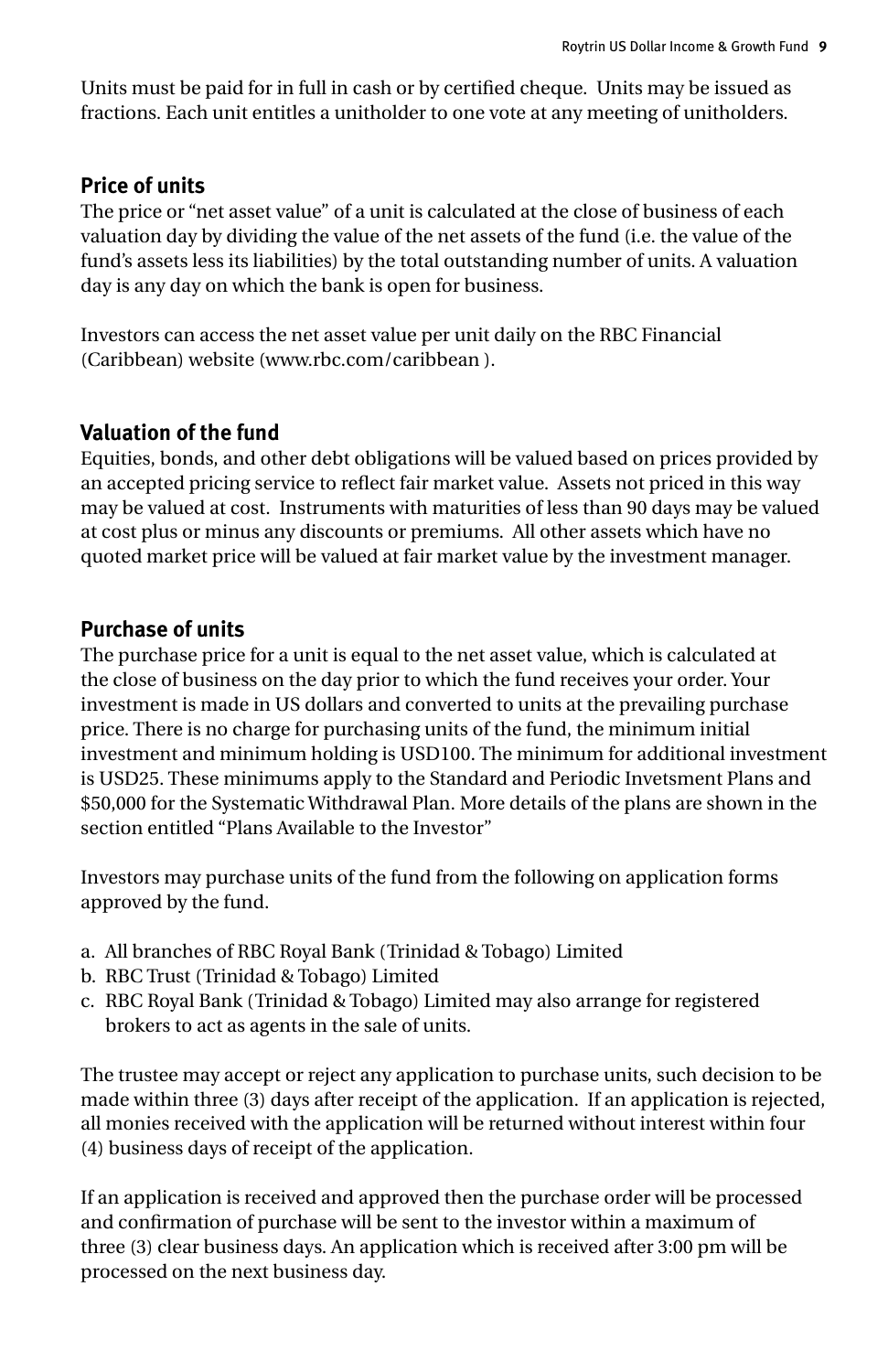Units must be paid for in full in cash or by certified cheque. Units may be issued as fractions. Each unit entitles a unitholder to one vote at any meeting of unitholders.

#### **Price of units**

The price or "net asset value" of a unit is calculated at the close of business of each valuation day by dividing the value of the net assets of the fund (i.e. the value of the fund's assets less its liabilities) by the total outstanding number of units. A valuation day is any day on which the bank is open for business.

Investors can access the net asset value per unit daily on the RBC Financial (Caribbean) website (www.rbc.com/caribbean ).

#### **Valuation of the fund**

Equities, bonds, and other debt obligations will be valued based on prices provided by an accepted pricing service to reflect fair market value. Assets not priced in this way may be valued at cost. Instruments with maturities of less than 90 days may be valued at cost plus or minus any discounts or premiums. All other assets which have no quoted market price will be valued at fair market value by the investment manager.

## **Purchase of units**

The purchase price for a unit is equal to the net asset value, which is calculated at the close of business on the day prior to which the fund receives your order. Your investment is made in US dollars and converted to units at the prevailing purchase price. There is no charge for purchasing units of the fund, the minimum initial investment and minimum holding is USD100. The minimum for additional investment is USD25. These minimums apply to the Standard and Periodic Invetsment Plans and \$50,000 for the Systematic Withdrawal Plan. More details of the plans are shown in the section entitled "Plans Available to the Investor"

Investors may purchase units of the fund from the following on application forms approved by the fund.

- a. All branches of RBC Royal Bank (Trinidad & Tobago) Limited
- b. RBC Trust (Trinidad & Tobago) Limited
- c. RBC Royal Bank (Trinidad & Tobago) Limited may also arrange for registered brokers to act as agents in the sale of units.

The trustee may accept or reject any application to purchase units, such decision to be made within three (3) days after receipt of the application. If an application is rejected, all monies received with the application will be returned without interest within four (4) business days of receipt of the application.

If an application is received and approved then the purchase order will be processed and confirmation of purchase will be sent to the investor within a maximum of three (3) clear business days. An application which is received after 3:00 pm will be processed on the next business day.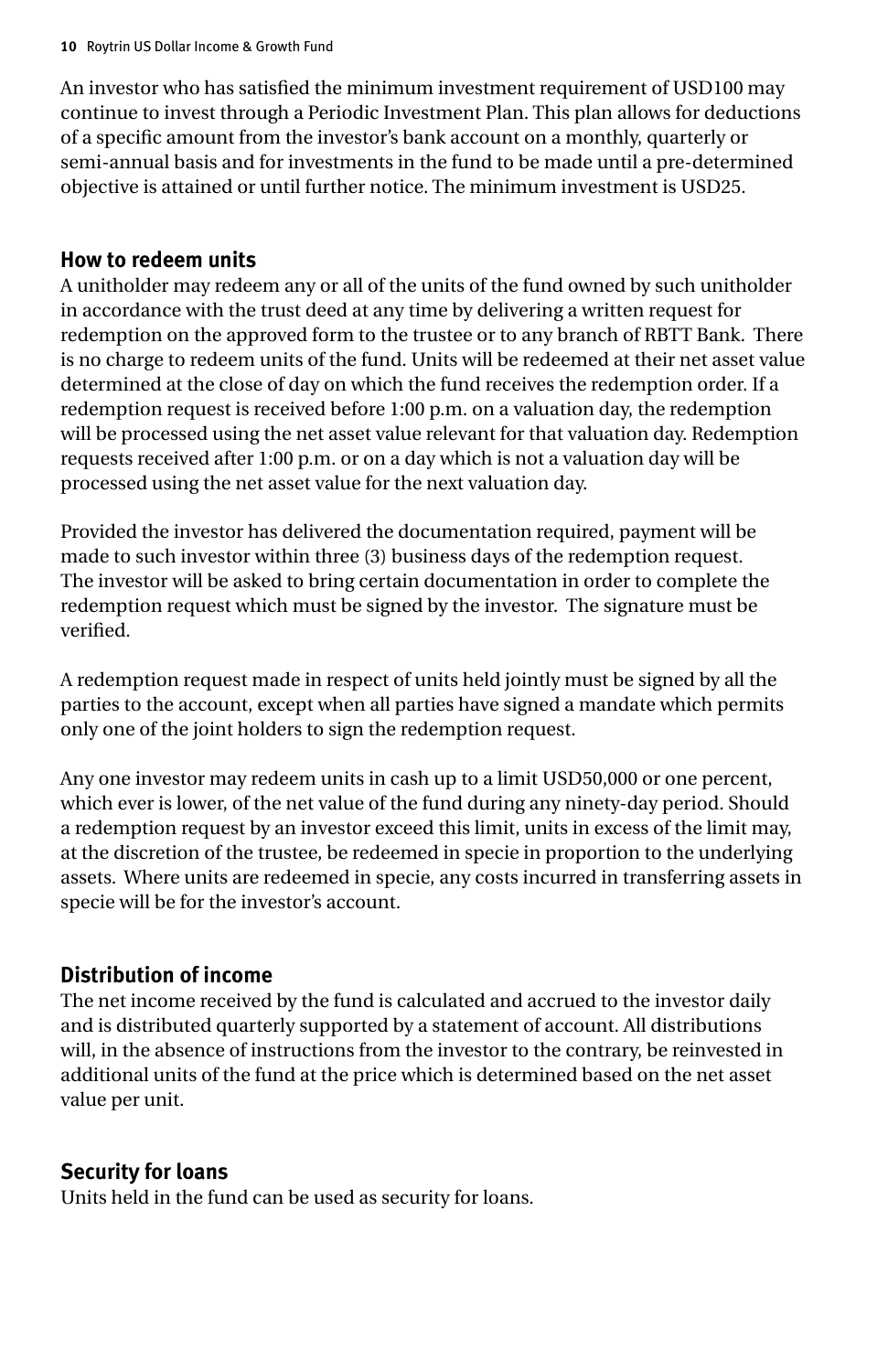An investor who has satisfied the minimum investment requirement of USD100 may continue to invest through a Periodic Investment Plan. This plan allows for deductions of a specific amount from the investor's bank account on a monthly, quarterly or semi-annual basis and for investments in the fund to be made until a pre-determined objective is attained or until further notice. The minimum investment is USD25.

#### **How to redeem units**

A unitholder may redeem any or all of the units of the fund owned by such unitholder in accordance with the trust deed at any time by delivering a written request for redemption on the approved form to the trustee or to any branch of RBTT Bank. There is no charge to redeem units of the fund. Units will be redeemed at their net asset value determined at the close of day on which the fund receives the redemption order. If a redemption request is received before 1:00 p.m. on a valuation day, the redemption will be processed using the net asset value relevant for that valuation day. Redemption requests received after 1:00 p.m. or on a day which is not a valuation day will be processed using the net asset value for the next valuation day.

Provided the investor has delivered the documentation required, payment will be made to such investor within three (3) business days of the redemption request. The investor will be asked to bring certain documentation in order to complete the redemption request which must be signed by the investor. The signature must be verified.

A redemption request made in respect of units held jointly must be signed by all the parties to the account, except when all parties have signed a mandate which permits only one of the joint holders to sign the redemption request.

Any one investor may redeem units in cash up to a limit USD50,000 or one percent, which ever is lower, of the net value of the fund during any ninety-day period. Should a redemption request by an investor exceed this limit, units in excess of the limit may, at the discretion of the trustee, be redeemed in specie in proportion to the underlying assets. Where units are redeemed in specie, any costs incurred in transferring assets in specie will be for the investor's account.

## **Distribution of income**

The net income received by the fund is calculated and accrued to the investor daily and is distributed quarterly supported by a statement of account. All distributions will, in the absence of instructions from the investor to the contrary, be reinvested in additional units of the fund at the price which is determined based on the net asset value per unit.

#### **Security for loans**

Units held in the fund can be used as security for loans.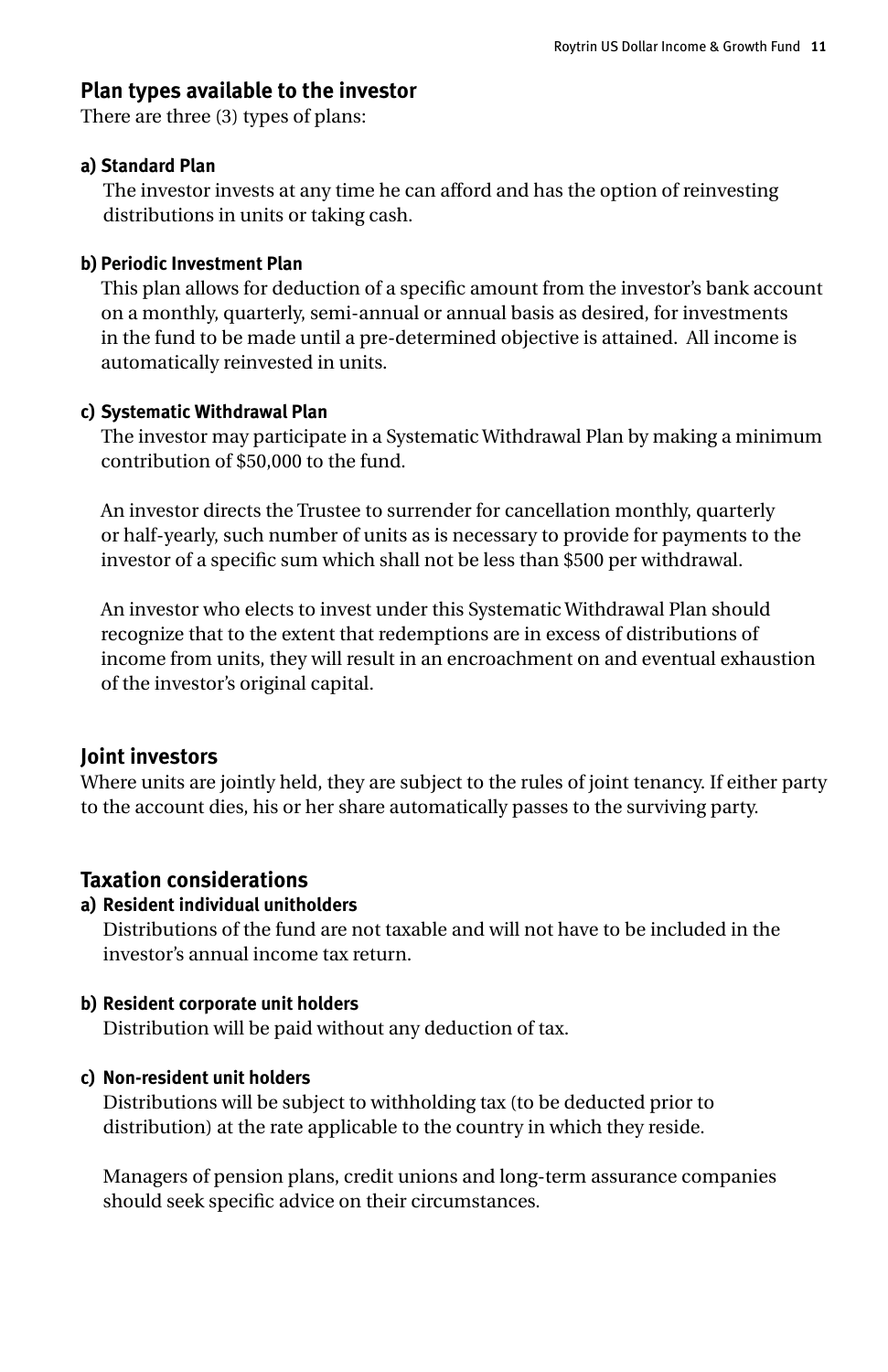#### **Plan types available to the investor**

There are three (3) types of plans:

#### **a) Standard Plan**

The investor invests at any time he can afford and has the option of reinvesting distributions in units or taking cash.

#### **b) Periodic Investment Plan**

This plan allows for deduction of a specific amount from the investor's bank account on a monthly, quarterly, semi-annual or annual basis as desired, for investments in the fund to be made until a pre-determined objective is attained. All income is automatically reinvested in units.

#### **c) Systematic Withdrawal Plan**

The investor may participate in a Systematic Withdrawal Plan by making a minimum contribution of \$50,000 to the fund.

An investor directs the Trustee to surrender for cancellation monthly, quarterly or half-yearly, such number of units as is necessary to provide for payments to the investor of a specific sum which shall not be less than \$500 per withdrawal.

An investor who elects to invest under this Systematic Withdrawal Plan should recognize that to the extent that redemptions are in excess of distributions of income from units, they will result in an encroachment on and eventual exhaustion of the investor's original capital.

#### **Joint investors**

Where units are jointly held, they are subject to the rules of joint tenancy. If either party to the account dies, his or her share automatically passes to the surviving party.

#### **Taxation considerations**

#### **a) Resident individual unitholders**

Distributions of the fund are not taxable and will not have to be included in the investor's annual income tax return.

#### **b) Resident corporate unit holders**

Distribution will be paid without any deduction of tax.

#### **c) Non-resident unit holders**

Distributions will be subject to withholding tax (to be deducted prior to distribution) at the rate applicable to the country in which they reside.

Managers of pension plans, credit unions and long-term assurance companies should seek specific advice on their circumstances.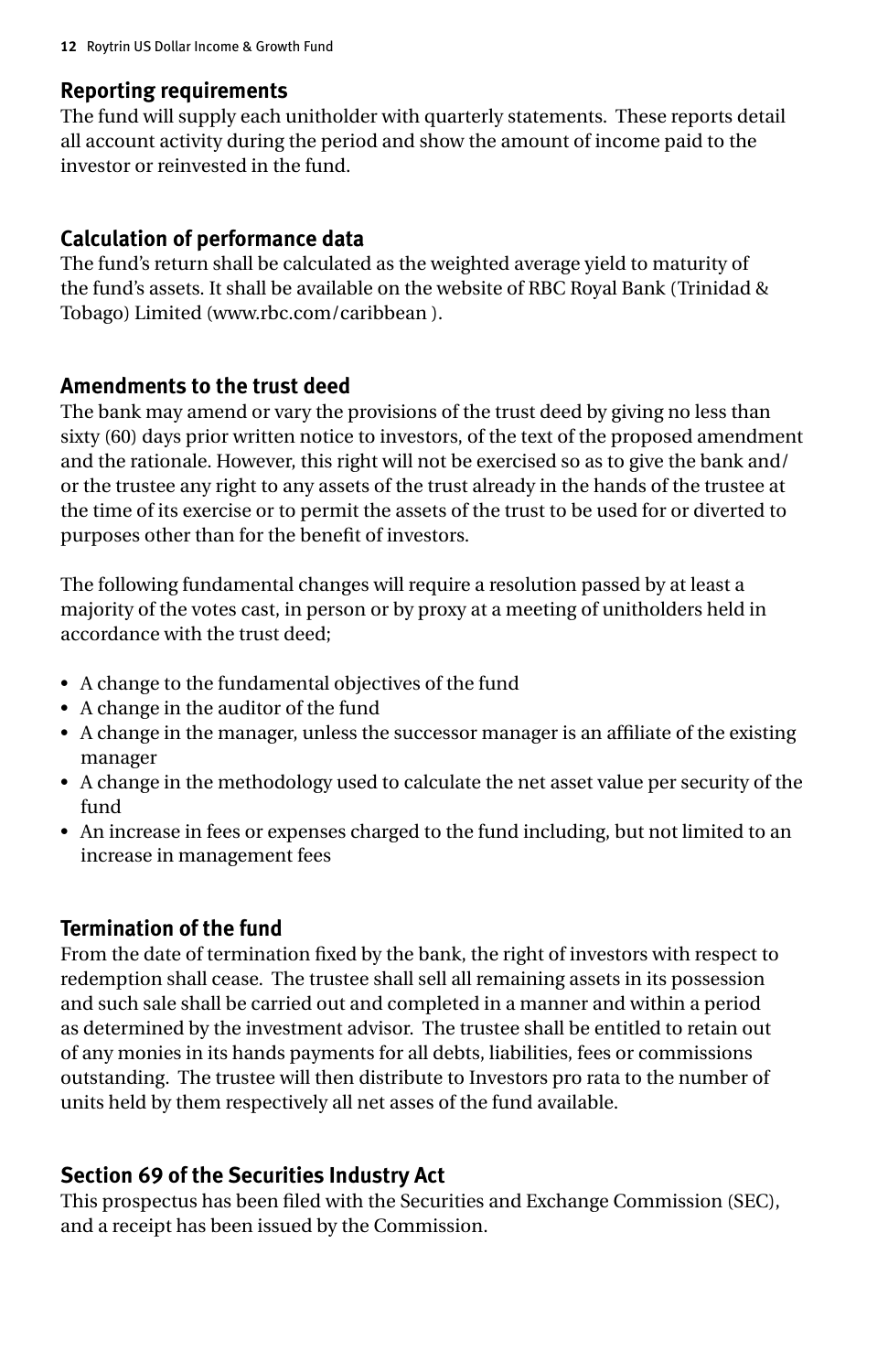#### **Reporting requirements**

The fund will supply each unitholder with quarterly statements. These reports detail all account activity during the period and show the amount of income paid to the investor or reinvested in the fund.

#### **Calculation of performance data**

The fund's return shall be calculated as the weighted average yield to maturity of the fund's assets. It shall be available on the website of RBC Royal Bank (Trinidad & Tobago) Limited (www.rbc.com/caribbean ).

#### **Amendments to the trust deed**

The bank may amend or vary the provisions of the trust deed by giving no less than sixty (60) days prior written notice to investors, of the text of the proposed amendment and the rationale. However, this right will not be exercised so as to give the bank and/ or the trustee any right to any assets of the trust already in the hands of the trustee at the time of its exercise or to permit the assets of the trust to be used for or diverted to purposes other than for the benefit of investors.

The following fundamental changes will require a resolution passed by at least a majority of the votes cast, in person or by proxy at a meeting of unitholders held in accordance with the trust deed;

- • A change to the fundamental objectives of the fund
- • A change in the auditor of the fund
- • A change in the manager, unless the successor manager is an affiliate of the existing manager
- • A change in the methodology used to calculate the net asset value per security of the fund
- • An increase in fees or expenses charged to the fund including, but not limited to an increase in management fees

## **Termination of the fund**

From the date of termination fixed by the bank, the right of investors with respect to redemption shall cease. The trustee shall sell all remaining assets in its possession and such sale shall be carried out and completed in a manner and within a period as determined by the investment advisor. The trustee shall be entitled to retain out of any monies in its hands payments for all debts, liabilities, fees or commissions outstanding. The trustee will then distribute to Investors pro rata to the number of units held by them respectively all net asses of the fund available.

## **Section 69 of the Securities Industry Act**

This prospectus has been filed with the Securities and Exchange Commission (SEC), and a receipt has been issued by the Commission.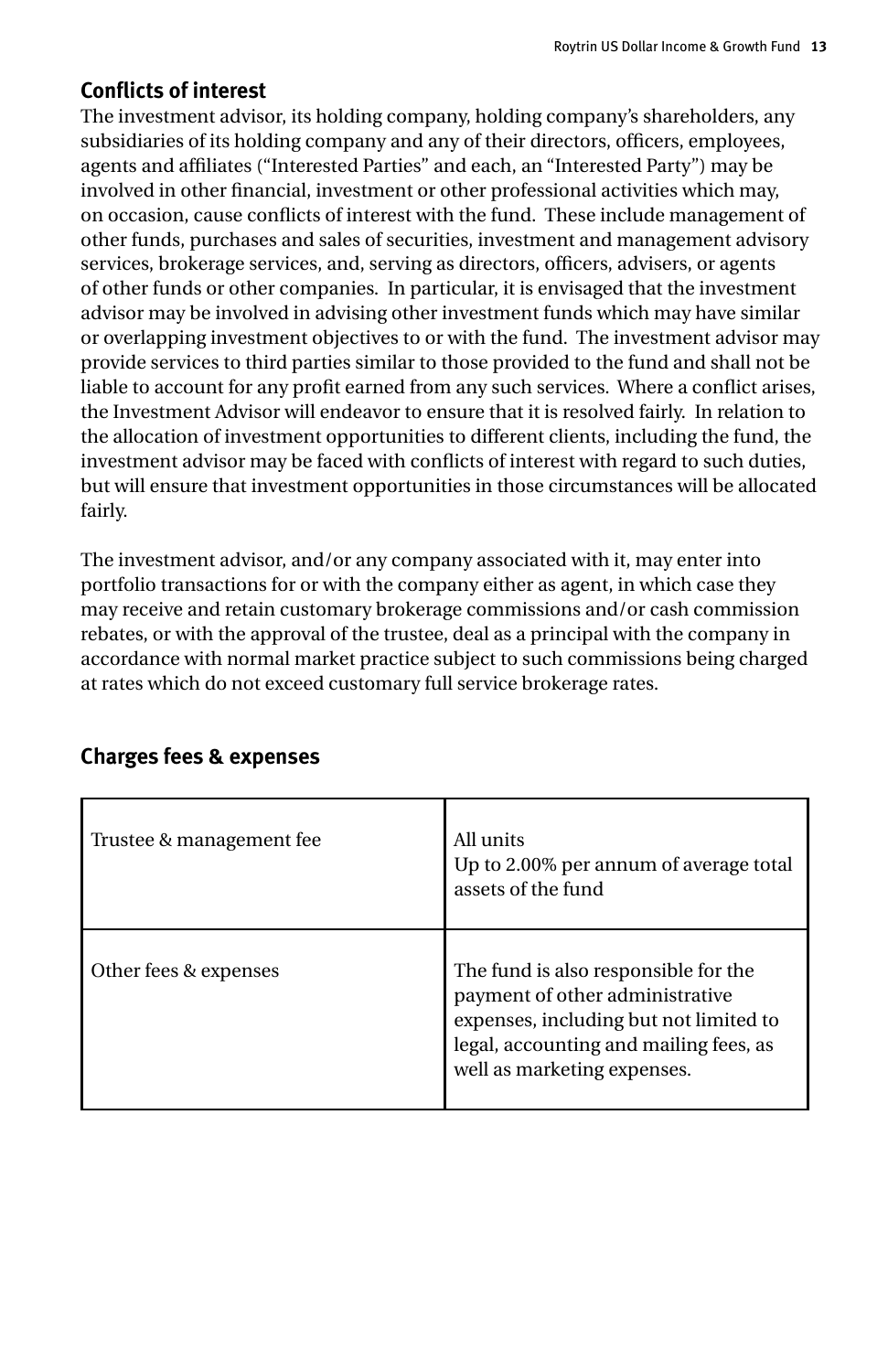## **Conflicts of interest**

The investment advisor, its holding company, holding company's shareholders, any subsidiaries of its holding company and any of their directors, officers, employees, agents and affiliates ("Interested Parties" and each, an "Interested Party") may be involved in other financial, investment or other professional activities which may, on occasion, cause conflicts of interest with the fund. These include management of other funds, purchases and sales of securities, investment and management advisory services, brokerage services, and, serving as directors, officers, advisers, or agents of other funds or other companies. In particular, it is envisaged that the investment advisor may be involved in advising other investment funds which may have similar or overlapping investment objectives to or with the fund. The investment advisor may provide services to third parties similar to those provided to the fund and shall not be liable to account for any profit earned from any such services. Where a conflict arises, the Investment Advisor will endeavor to ensure that it is resolved fairly. In relation to the allocation of investment opportunities to different clients, including the fund, the investment advisor may be faced with conflicts of interest with regard to such duties, but will ensure that investment opportunities in those circumstances will be allocated fairly.

The investment advisor, and/or any company associated with it, may enter into portfolio transactions for or with the company either as agent, in which case they may receive and retain customary brokerage commissions and/or cash commission rebates, or with the approval of the trustee, deal as a principal with the company in accordance with normal market practice subject to such commissions being charged at rates which do not exceed customary full service brokerage rates.

| Trustee & management fee | All units<br>Up to 2.00% per annum of average total<br>assets of the fund                                                                                                                  |
|--------------------------|--------------------------------------------------------------------------------------------------------------------------------------------------------------------------------------------|
| Other fees & expenses    | The fund is also responsible for the<br>payment of other administrative<br>expenses, including but not limited to<br>legal, accounting and mailing fees, as<br>well as marketing expenses. |

## **Charges fees & expenses**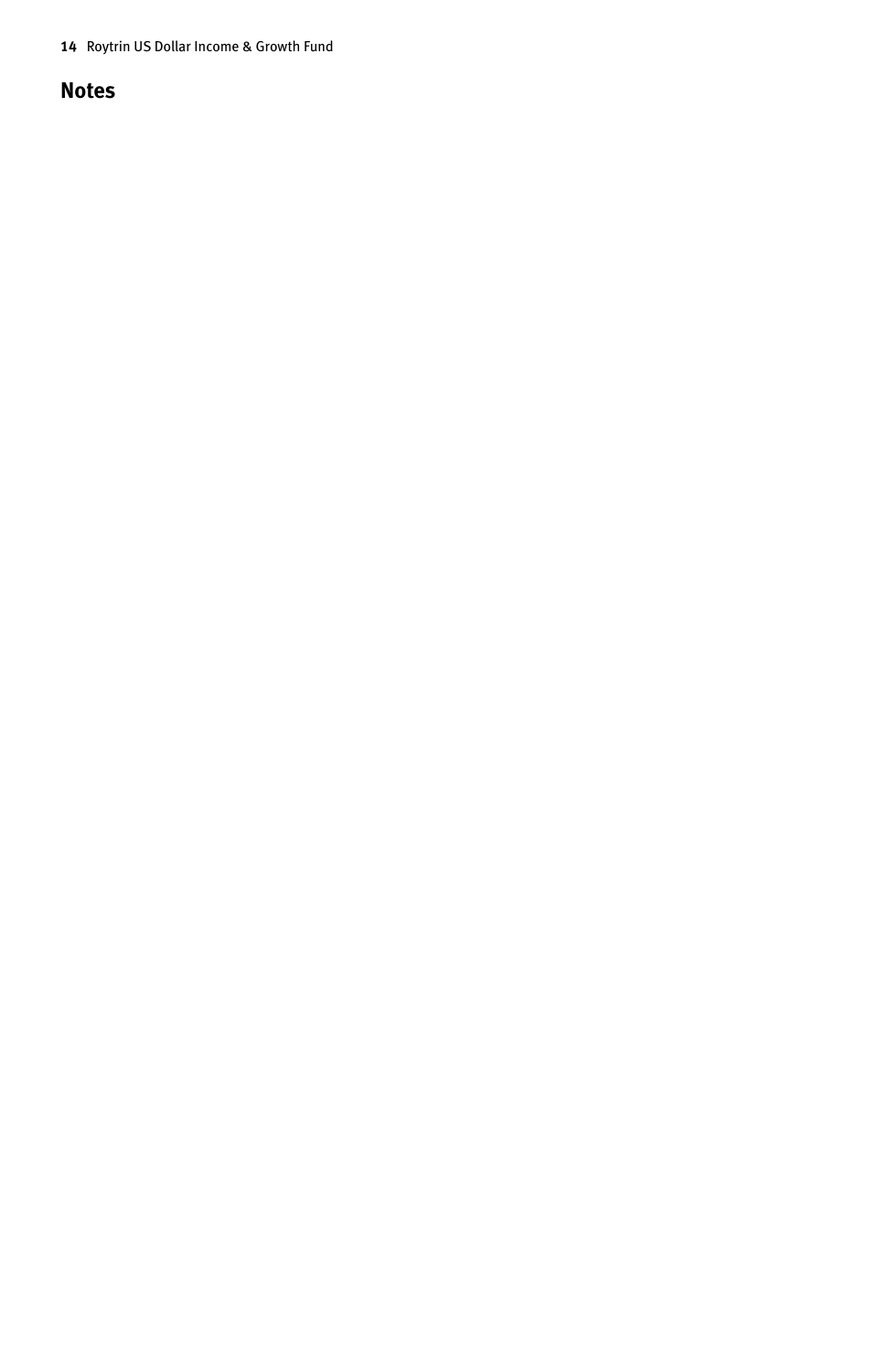#### **Notes**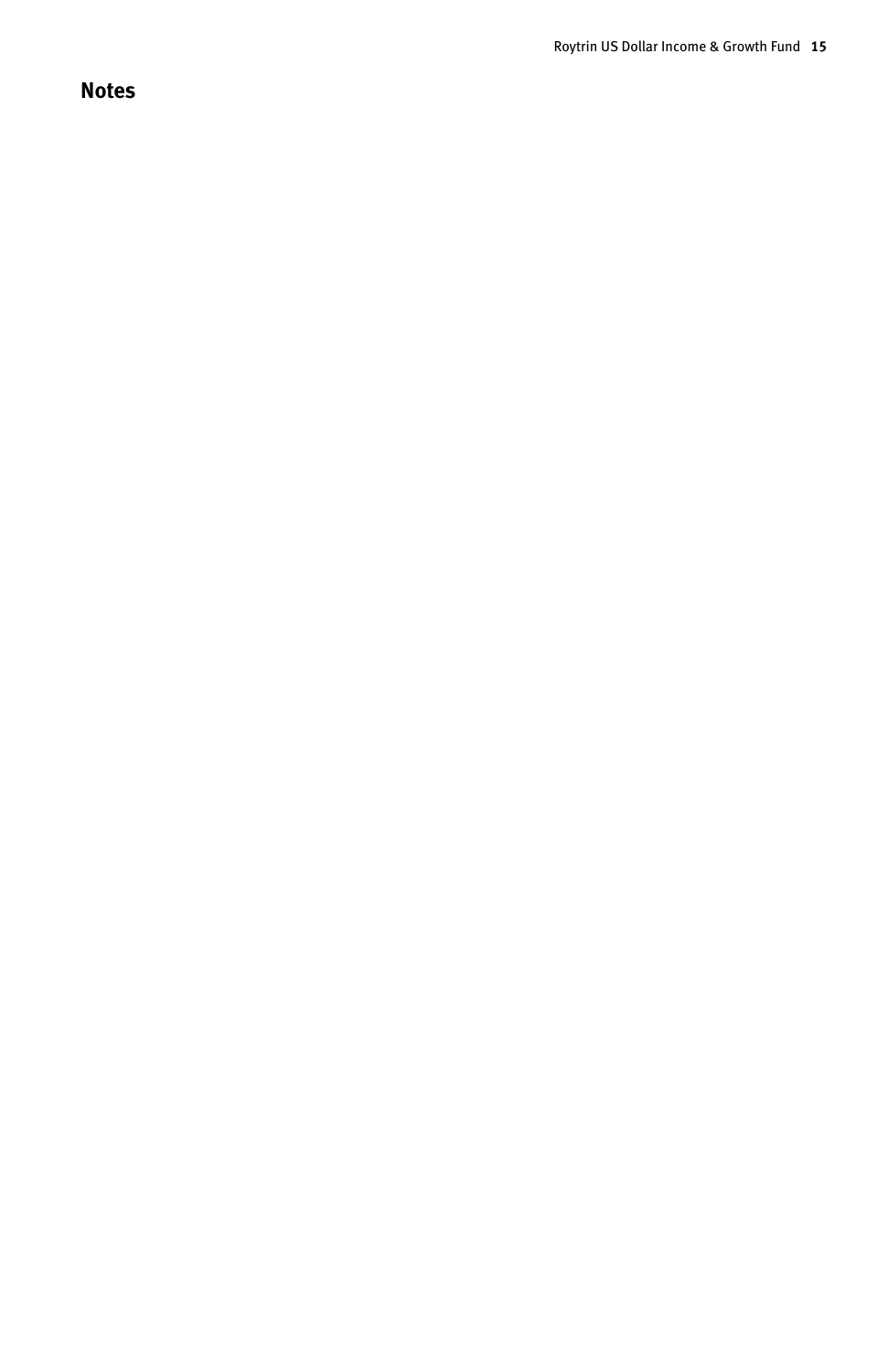#### **Notes**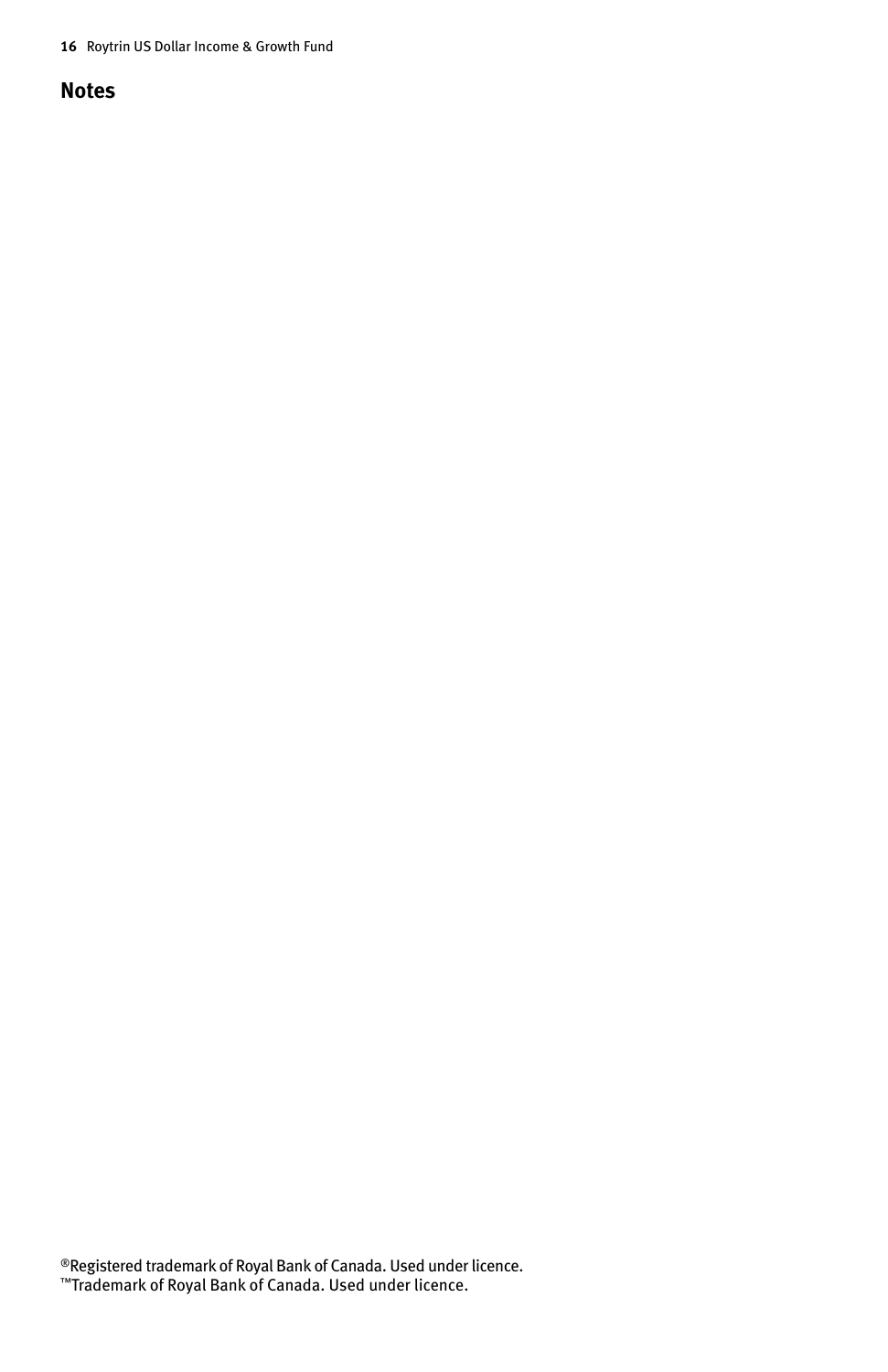#### **Notes**

®Registered trademark of Royal Bank of Canada. Used under licence. ™Trademark of Royal Bank of Canada. Used under licence.